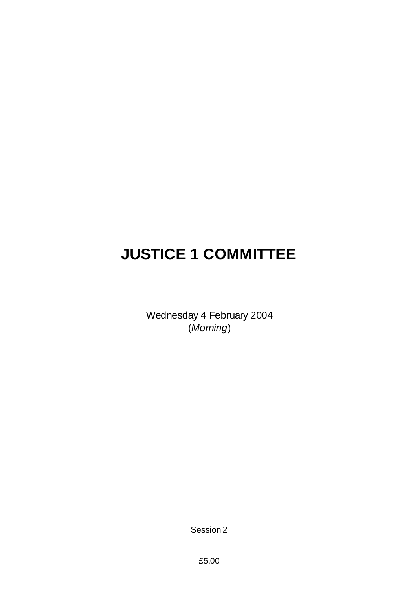# **JUSTICE 1 COMMITTEE**

Wednesday 4 February 2004 (*Morning*)

Session 2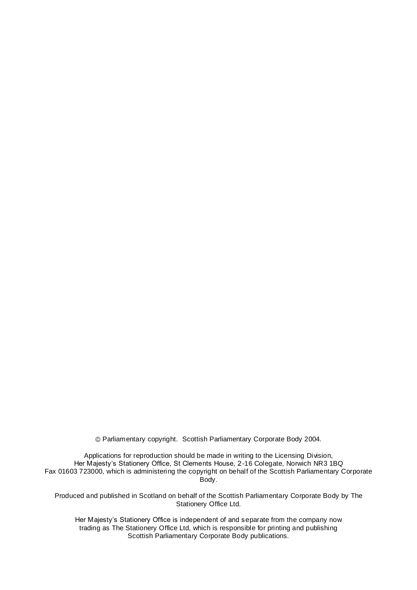Parliamentary copyright. Scottish Parliamentary Corporate Body 2004.

Applications for reproduction should be made in writing to the Licensing Division, Her Majesty's Stationery Office, St Clements House, 2-16 Colegate, Norwich NR3 1BQ Fax 01603 723000, which is administering the copyright on behalf of the Scottish Parliamentary Corporate Body.

Produced and published in Scotland on behalf of the Scottish Parliamentary Corporate Body by The Stationery Office Ltd.

Her Majesty's Stationery Office is independent of and separate from the company now trading as The Stationery Office Ltd, which is responsible for printing and publishing Scottish Parliamentary Corporate Body publications.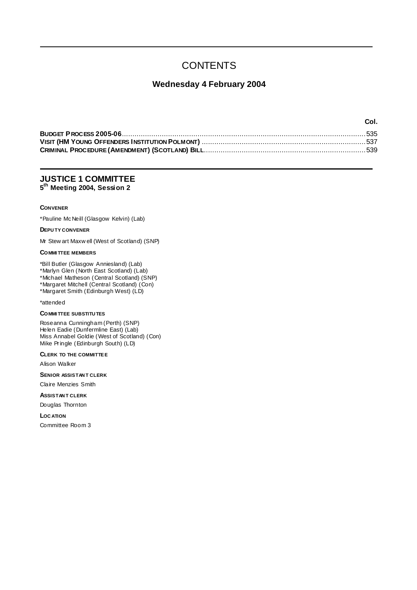## **CONTENTS**

### **Wednesday 4 February 2004**

| Col. |
|------|
|      |
|      |
|      |

### **JUSTICE 1 COMMITTEE 5 th Meeting 2004, Session 2**

#### **CONVENER**

\*Pauline McNeill (Glasgow Kelvin) (Lab)

#### **DEPU TY CONVENER**

Mr Stew art Maxw ell (West of Scotland) (SNP)

### **COMMI TTEE MEMBERS**

\*Bill Butler (Glasgow Anniesland) (Lab) \*Marlyn Glen (North East Scotland) (Lab) \*Michael Matheson (Central Scotland) (SNP)

\*Margaret Mitchell (Central Scotland) (Con)

\*Margaret Smith (Edinburgh West) (LD)

### \*attended

### **COMMI TTEE SUBSTITU TES**

Roseanna Cunningham (Perth) (SNP) Helen Eadie (Dunfermline East) (Lab) Miss Annabel Goldie (West of Scotland) (Con) Mike Pringle (Edinburgh South) (LD)

#### **CLERK TO THE COMMITTEE**

Alison Walker

**SENIOR ASSISTAN T CLERK**

Claire Menzies Smith

**ASSISTAN T CLERK**

Douglas Thornton

**LOC ATION**

Committee Room 3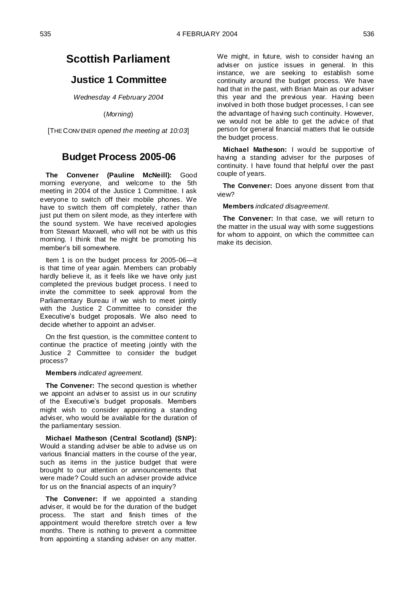### **Scottish Parliament**

### **Justice 1 Committee**

*Wednesday 4 February 2004*

(*Morning*)

[THE CONV ENER *opened the meeting at 10:03*]

### **Budget Process 2005-06**

**The Convener (Pauline McNeill):** Good morning everyone, and welcome to the 5th meeting in 2004 of the Justice 1 Committee. I ask everyone to switch off their mobile phones. We have to switch them off completely, rather than just put them on silent mode, as they interfere with the sound system. We have received apologies from Stewart Maxwell, who will not be with us this morning. I think that he might be promoting his member"s bill somewhere.

Item 1 is on the budget process for 2005-06—it is that time of year again. Members can probably hardly believe it, as it feels like we have only just completed the previous budget process. I need to invite the committee to seek approval from the Parliamentary Bureau if we wish to meet jointly with the Justice 2 Committee to consider the Executive's budget proposals. We also need to decide whether to appoint an adviser.

On the first question, is the committee content to continue the practice of meeting jointly with the Justice 2 Committee to consider the budget process?

#### **Members** *indicated agreement.*

**The Convener:** The second question is whether we appoint an adviser to assist us in our scrutiny of the Executive's budget proposals. Members might wish to consider appointing a standing adviser, who would be available for the duration of the parliamentary session.

**Michael Matheson (Central Scotland) (SNP):**  Would a standing adviser be able to advise us on various financial matters in the course of the year, such as items in the justice budget that were brought to our attention or announcements that were made? Could such an adviser provide advice for us on the financial aspects of an inquiry?

**The Convener:** If we appointed a standing adviser, it would be for the duration of the budget process. The start and finish times of the appointment would therefore stretch over a few months. There is nothing to prevent a committee from appointing a standing adviser on any matter. We might, in future, wish to consider having an adviser on justice issues in general. In this instance, we are seeking to establish some continuity around the budget process. We have had that in the past, with Brian Main as our adviser this year and the previous year. Having been involved in both those budget processes, I can see the advantage of having such continuity. However, we would not be able to get the advice of that person for general financial matters that lie outside the budget process.

**Michael Matheson:** I would be supportive of having a standing adviser for the purposes of continuity. I have found that helpful over the past couple of years.

**The Convener:** Does anyone dissent from that view?

**Members** *indicated disagreement.*

**The Convener:** In that case, we will return to the matter in the usual way with some suggestions for whom to appoint, on which the committee can make its decision.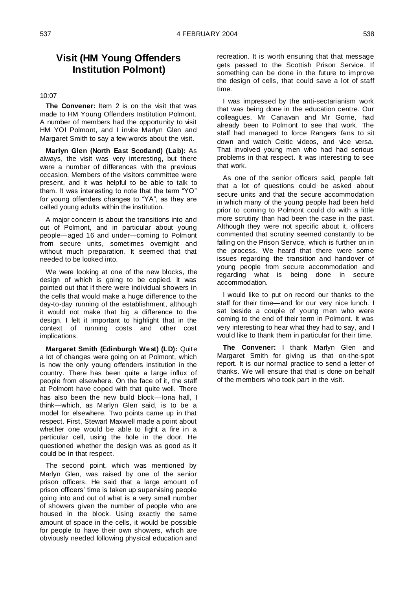### **Visit (HM Young Offenders Institution Polmont)**

### 10:07

**The Convener:** Item 2 is on the visit that was made to HM Young Offenders Institution Polmont. A number of members had the opportunity to visit HM YOI Polmont, and I invite Marlyn Glen and Margaret Smith to say a few words about the visit.

**Marlyn Glen (North East Scotland) (Lab):** As always, the visit was very interesting, but there were a number of differences with the previous occasion. Members of the visitors committee were present, and it was helpful to be able to talk to them. It was interesting to note that the term "YO" for young offenders changes to "YA", as they are called young adults within the institution.

A major concern is about the transitions into and out of Polmont, and in particular about young people—aged 16 and under—coming to Polmont from secure units, sometimes overnight and without much preparation. It seemed that that needed to be looked into.

We were looking at one of the new blocks, the design of which is going to be copied. It was pointed out that if there were individual showers in the cells that would make a huge difference to the day-to-day running of the establishment, although it would not make that big a difference to the design. I felt it important to highlight that in the context of running costs and other cost implications.

**Margaret Smith (Edinburgh West) (LD):** Quite a lot of changes were going on at Polmont, which is now the only young offenders institution in the country. There has been quite a large influx of people from elsewhere. On the face of it, the staff at Polmont have coped with that quite well. There has also been the new build block—Iona hall, I think—which, as Marlyn Glen said, is to be a model for elsewhere. Two points came up in that respect. First, Stewart Maxwell made a point about whether one would be able to fight a fire in a particular cell, using the hole in the door. He questioned whether the design was as good as it could be in that respect.

The second point, which was mentioned by Marlyn Glen, was raised by one of the senior prison officers. He said that a large amount of prison officers' time is taken up supervising people going into and out of what is a very small number of showers given the number of people who are housed in the block. Using exactly the same amount of space in the cells, it would be possible for people to have their own showers, which are obviously needed following physical education and

recreation. It is worth ensuring that that message gets passed to the Scottish Prison Service. If something can be done in the future to improve the design of cells, that could save a lot of staff time.

I was impressed by the anti-sectarianism work that was being done in the education centre. Our colleagues, Mr Canavan and Mr Gorrie, had already been to Polmont to see that work. The staff had managed to force Rangers fans to sit down and watch Celtic videos, and vice versa. That involved young men who had had serious problems in that respect. It was interesting to see that work.

As one of the senior officers said, people felt that a lot of questions could be asked about secure units and that the secure accommodation in which many of the young people had been held prior to coming to Polmont could do with a little more scrutiny than had been the case in the past. Although they were not specific about it, officers commented that scrutiny seemed constantly to be falling on the Prison Service, which is further on in the process. We heard that there were some issues regarding the transition and handover of young people from secure accommodation and regarding what is being done in secure accommodation.

I would like to put on record our thanks to the staff for their time—and for our very nice lunch. I sat beside a couple of young men who were coming to the end of their term in Polmont. It was very interesting to hear what they had to say, and I would like to thank them in particular for their time.

**The Convener:** I thank Marlyn Glen and Margaret Smith for giving us that on-the-spot report. It is our normal practice to send a letter of thanks. We will ensure that that is done on behalf of the members who took part in the visit.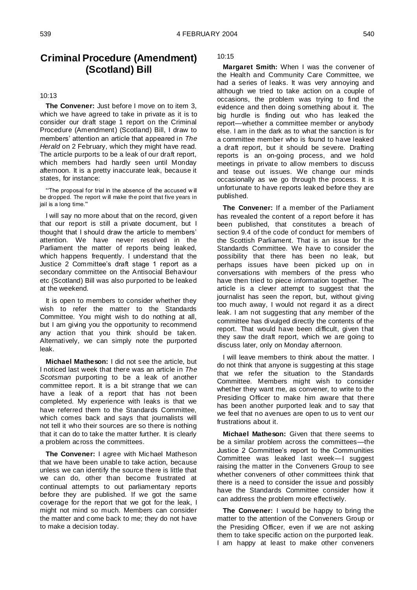### **Criminal Procedure (Amendment) (Scotland) Bill**

#### 10:13

**The Convener:** Just before I move on to item 3, which we have agreed to take in private as it is to consider our draft stage 1 report on the Criminal Procedure (Amendment) (Scotland) Bill, I draw to members" attention an article that appeared in *The Herald* on 2 February, which they might have read. The article purports to be a leak of our draft report, which members had hardly seen until Monday afternoon. It is a pretty inaccurate leak, because it states, for instance:

""The proposal for trial in the absence of the accused w ill be dropped. The report w ill make the point that five years in jail is a long time.""

I will say no more about that on the record, gi ven that our report is still a private document, but I thought that I should draw the article to members" attention. We have never resolved in the Parliament the matter of reports being leaked, which happens frequently. I understand that the Justice 2 Committee"s draft stage 1 report as a secondary committee on the Antisocial Behaviour etc (Scotland) Bill was also purported to be leaked at the weekend.

It is open to members to consider whether they wish to refer the matter to the Standards Committee. You might wish to do nothing at all, but I am giving you the opportunity to recommend any action that you think should be taken. Alternatively, we can simply note the purported leak.

**Michael Matheson:** I did not see the article, but I noticed last week that there was an article in *The Scotsman* purporting to be a leak of another committee report. It is a bit strange that we can have a leak of a report that has not been completed. My experience with leaks is that we have referred them to the Standards Committee, which comes back and says that journalists will not tell it who their sources are so there is nothing that it can do to take the matter further. It is clearly a problem across the committees.

**The Convener:** I agree with Michael Matheson that we have been unable to take action, because unless we can identify the source there is little that we can do, other than become frustrated at continual attempts to out parliamentary reports before they are published. If we got the same coverage for the report that we got for the leak, I might not mind so much. Members can consider the matter and come back to me; they do not have to make a decision today.

10:15

**Margaret Smith:** When I was the convener of the Health and Community Care Committee, we had a series of leaks. It was very annoying and although we tried to take action on a couple of occasions, the problem was trying to find the evidence and then doing something about it. The big hurdle is finding out who has leaked the report—whether a committee member or anybody else. I am in the dark as to what the sanction is for a committee member who is found to have leaked a draft report, but it should be severe. Drafting reports is an on-going process, and we hold meetings in private to allow members to discuss and tease out issues. We change our minds occasionally as we go through the process. It is unfortunate to have reports leaked before they are published.

**The Convener:** If a member of the Parliament has revealed the content of a report before it has been published, that constitutes a breach of section 9.4 of the code of conduct for members of the Scottish Parliament. That is an issue for the Standards Committee. We have to consider the possibility that there has been no leak, but perhaps issues have been picked up on in conversations with members of the press who have then tried to piece information together. The article is a clever attempt to suggest that the journalist has seen the report, but, without giving too much away, I would not regard it as a direct leak. I am not suggesting that any member of the committee has divulged directly the contents of the report. That would have been difficult, given that they saw the draft report, which we are going to discuss later, only on Monday afternoon.

I will leave members to think about the matter. I do not think that anyone is suggesting at this stage that we refer the situation to the Standards Committee. Members might wish to consider whether they want me, as convener, to write to the Presiding Officer to make him aware that there has been another purported leak and to say that we feel that no avenues are open to us to vent our frustrations about it.

**Michael Matheson:** Given that there seems to be a similar problem across the committees—the Justice 2 Committee"s report to the Communities Committee was leaked last week—I suggest raising the matter in the Conveners Group to see whether conveners of other committees think that there is a need to consider the issue and possibly have the Standards Committee consider how it can address the problem more effectively.

**The Convener:** I would be happy to bring the matter to the attention of the Conveners Group or the Presiding Officer, even if we are not asking them to take specific action on the purported leak. I am happy at least to make other conveners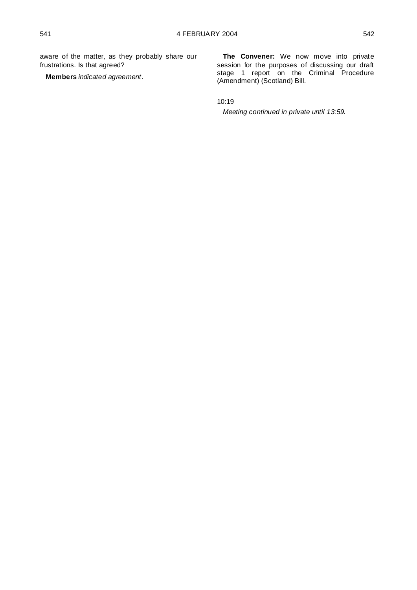aware of the matter, as they probably share our frustrations. Is that agreed?

**Members** *indicated agreement*.

**The Convener:** We now move into private session for the purposes of discussing our draft stage 1 report on the Criminal Procedure (Amendment) (Scotland) Bill.

10:19

*Meeting continued in private until 13:59.*